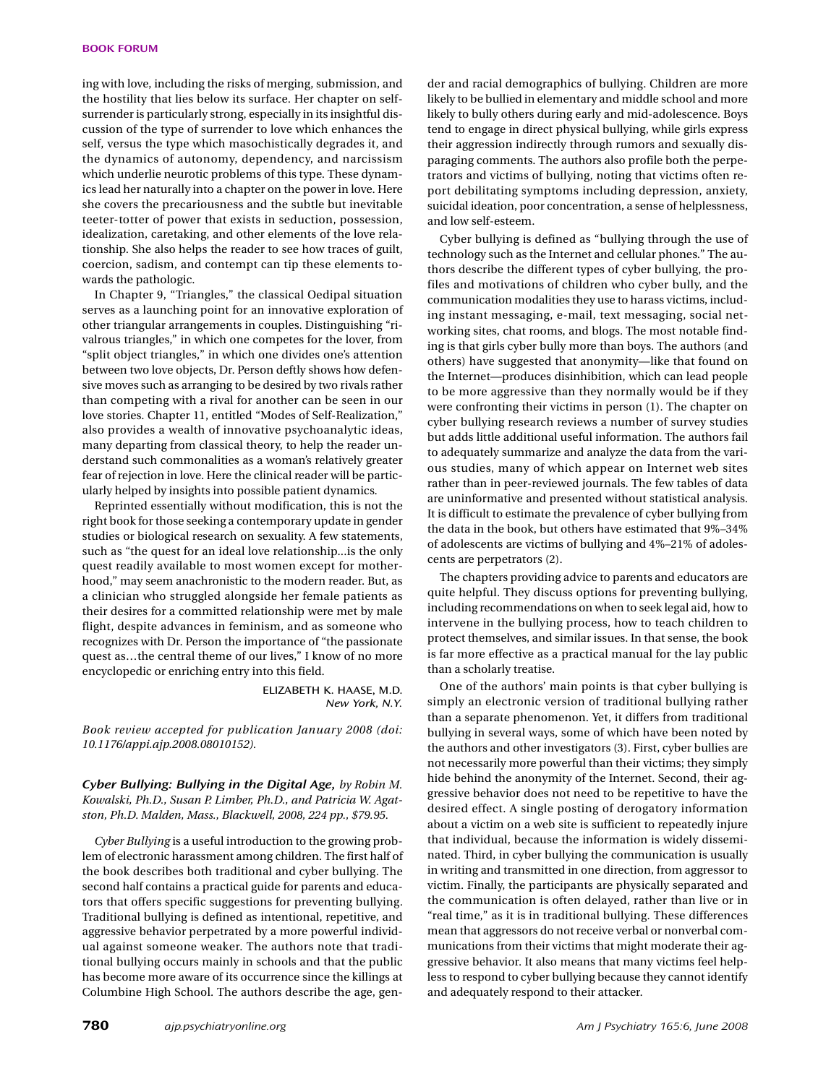ing with love, including the risks of merging, submission, and the hostility that lies below its surface. Her chapter on selfsurrender is particularly strong, especially in its insightful discussion of the type of surrender to love which enhances the self, versus the type which masochistically degrades it, and the dynamics of autonomy, dependency, and narcissism which underlie neurotic problems of this type. These dynamics lead her naturally into a chapter on the power in love. Here she covers the precariousness and the subtle but inevitable teeter-totter of power that exists in seduction, possession, idealization, caretaking, and other elements of the love relationship. She also helps the reader to see how traces of guilt, coercion, sadism, and contempt can tip these elements towards the pathologic.

In Chapter 9, "Triangles," the classical Oedipal situation serves as a launching point for an innovative exploration of other triangular arrangements in couples. Distinguishing "rivalrous triangles," in which one competes for the lover, from "split object triangles," in which one divides one's attention between two love objects, Dr. Person deftly shows how defensive moves such as arranging to be desired by two rivals rather than competing with a rival for another can be seen in our love stories. Chapter 11, entitled "Modes of Self-Realization," also provides a wealth of innovative psychoanalytic ideas, many departing from classical theory, to help the reader understand such commonalities as a woman's relatively greater fear of rejection in love. Here the clinical reader will be particularly helped by insights into possible patient dynamics.

Reprinted essentially without modification, this is not the right book for those seeking a contemporary update in gender studies or biological research on sexuality. A few statements, such as "the quest for an ideal love relationship...is the only quest readily available to most women except for motherhood," may seem anachronistic to the modern reader. But, as a clinician who struggled alongside her female patients as their desires for a committed relationship were met by male flight, despite advances in feminism, and as someone who recognizes with Dr. Person the importance of "the passionate quest as…the central theme of our lives," I know of no more encyclopedic or enriching entry into this field.

> ELIZABETH K. HAASE, M.D. *New York, N.Y.*

*Book review accepted for publication January 2008 (doi: 10.1176/appi.ajp.2008.08010152).*

*Cyber Bullying: Bullying in the Digital Age, by Robin M. Kowalski, Ph.D., Susan P. Limber, Ph.D., and Patricia W. Agatston, Ph.D. Malden, Mass., Blackwell, 2008, 224 pp., \$79.95.*

*Cyber Bullying* is a useful introduction to the growing problem of electronic harassment among children. The first half of the book describes both traditional and cyber bullying. The second half contains a practical guide for parents and educators that offers specific suggestions for preventing bullying. Traditional bullying is defined as intentional, repetitive, and aggressive behavior perpetrated by a more powerful individual against someone weaker. The authors note that traditional bullying occurs mainly in schools and that the public has become more aware of its occurrence since the killings at Columbine High School. The authors describe the age, gen-

der and racial demographics of bullying. Children are more likely to be bullied in elementary and middle school and more likely to bully others during early and mid-adolescence. Boys tend to engage in direct physical bullying, while girls express their aggression indirectly through rumors and sexually disparaging comments. The authors also profile both the perpetrators and victims of bullying, noting that victims often report debilitating symptoms including depression, anxiety, suicidal ideation, poor concentration, a sense of helplessness, and low self-esteem.

Cyber bullying is defined as "bullying through the use of technology such as the Internet and cellular phones." The authors describe the different types of cyber bullying, the profiles and motivations of children who cyber bully, and the communication modalities they use to harass victims, including instant messaging, e-mail, text messaging, social networking sites, chat rooms, and blogs. The most notable finding is that girls cyber bully more than boys. The authors (and others) have suggested that anonymity—like that found on the Internet—produces disinhibition, which can lead people to be more aggressive than they normally would be if they were confronting their victims in person (1). The chapter on cyber bullying research reviews a number of survey studies but adds little additional useful information. The authors fail to adequately summarize and analyze the data from the various studies, many of which appear on Internet web sites rather than in peer-reviewed journals. The few tables of data are uninformative and presented without statistical analysis. It is difficult to estimate the prevalence of cyber bullying from the data in the book, but others have estimated that 9%–34% of adolescents are victims of bullying and 4%–21% of adolescents are perpetrators (2).

The chapters providing advice to parents and educators are quite helpful. They discuss options for preventing bullying, including recommendations on when to seek legal aid, how to intervene in the bullying process, how to teach children to protect themselves, and similar issues. In that sense, the book is far more effective as a practical manual for the lay public than a scholarly treatise.

One of the authors' main points is that cyber bullying is simply an electronic version of traditional bullying rather than a separate phenomenon. Yet, it differs from traditional bullying in several ways, some of which have been noted by the authors and other investigators (3). First, cyber bullies are not necessarily more powerful than their victims; they simply hide behind the anonymity of the Internet. Second, their aggressive behavior does not need to be repetitive to have the desired effect. A single posting of derogatory information about a victim on a web site is sufficient to repeatedly injure that individual, because the information is widely disseminated. Third, in cyber bullying the communication is usually in writing and transmitted in one direction, from aggressor to victim. Finally, the participants are physically separated and the communication is often delayed, rather than live or in "real time," as it is in traditional bullying. These differences mean that aggressors do not receive verbal or nonverbal communications from their victims that might moderate their aggressive behavior. It also means that many victims feel helpless to respond to cyber bullying because they cannot identify and adequately respond to their attacker.